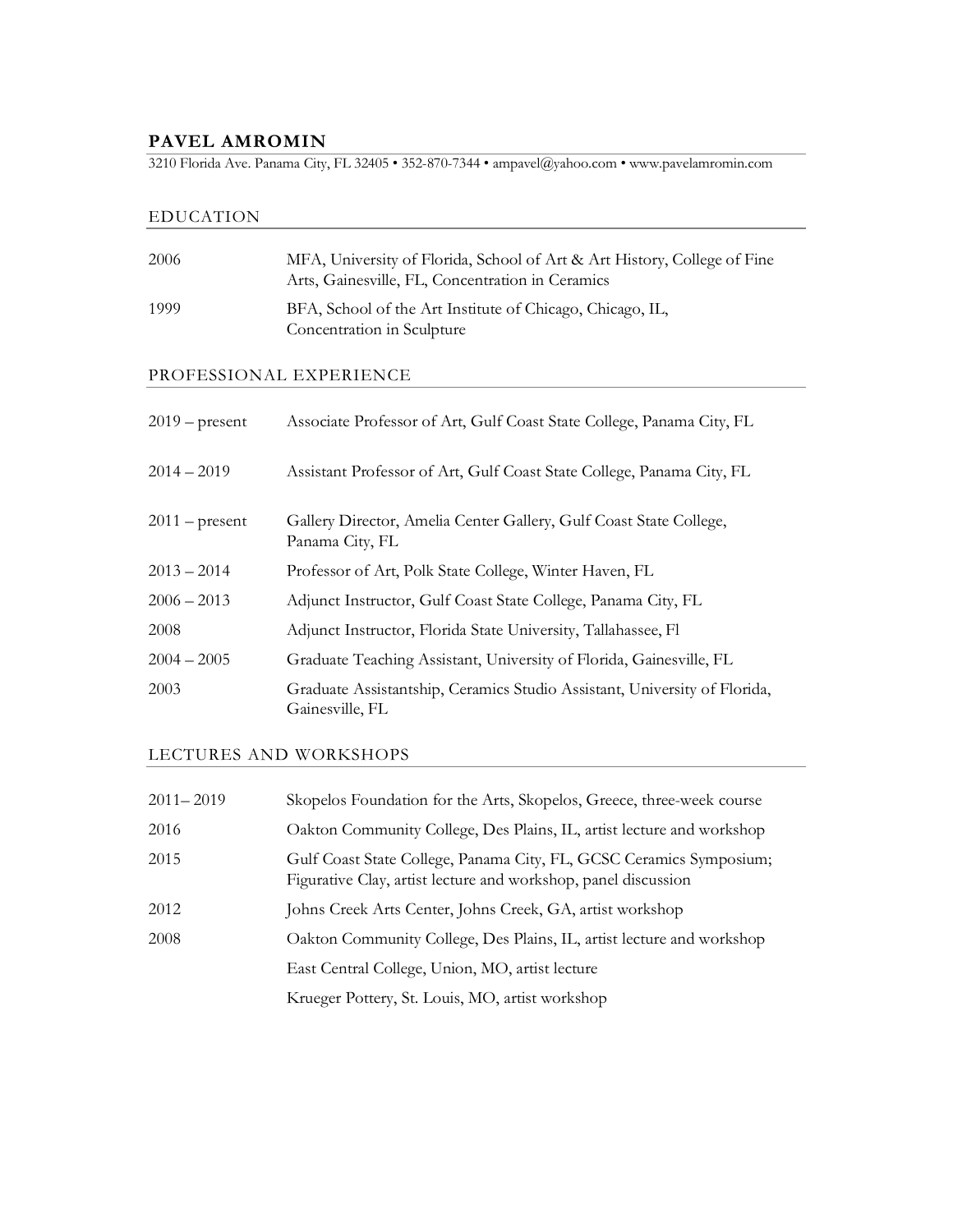### **PAVEL AMROMIN**

3210 Florida Ave. Panama City, FL 32405 • 352-870-7344 • ampavel@yahoo.com • www.pavelamromin.com

### EDUCATION

| 2006                    | MFA, University of Florida, School of Art & Art History, College of Fine<br>Arts, Gainesville, FL, Concentration in Ceramics |
|-------------------------|------------------------------------------------------------------------------------------------------------------------------|
| 1999                    | BFA, School of the Art Institute of Chicago, Chicago, IL,<br>Concentration in Sculpture                                      |
| PROFESSIONAL EXPERIENCE |                                                                                                                              |
| $2019$ – present        | Associate Professor of Art, Gulf Coast State College, Panama City, FL                                                        |
| $2014 - 2019$           | Assistant Professor of Art, Gulf Coast State College, Panama City, FL                                                        |
|                         |                                                                                                                              |

2011 – present Gallery Director, Amelia Center Gallery, Gulf Coast State College, Panama City, FL

- 2013 2014 Professor of Art, Polk State College, Winter Haven, FL
- 2006 2013 Adjunct Instructor, Gulf Coast State College, Panama City, FL
- 2008 Adjunct Instructor, Florida State University, Tallahassee, Fl
- 2004 2005 Graduate Teaching Assistant, University of Florida, Gainesville, FL
- 2003 Graduate Assistantship, Ceramics Studio Assistant, University of Florida, Gainesville, FL

#### LECTURES AND WORKSHOPS

| $2011 - 2019$ | Skopelos Foundation for the Arts, Skopelos, Greece, three-week course                                                                 |
|---------------|---------------------------------------------------------------------------------------------------------------------------------------|
| 2016          | Oakton Community College, Des Plains, IL, artist lecture and workshop                                                                 |
| 2015          | Gulf Coast State College, Panama City, FL, GCSC Ceramics Symposium;<br>Figurative Clay, artist lecture and workshop, panel discussion |
| 2012          | Johns Creek Arts Center, Johns Creek, GA, artist workshop                                                                             |
| 2008          | Oakton Community College, Des Plains, IL, artist lecture and workshop                                                                 |
|               | East Central College, Union, MO, artist lecture                                                                                       |
|               | Krueger Pottery, St. Louis, MO, artist workshop                                                                                       |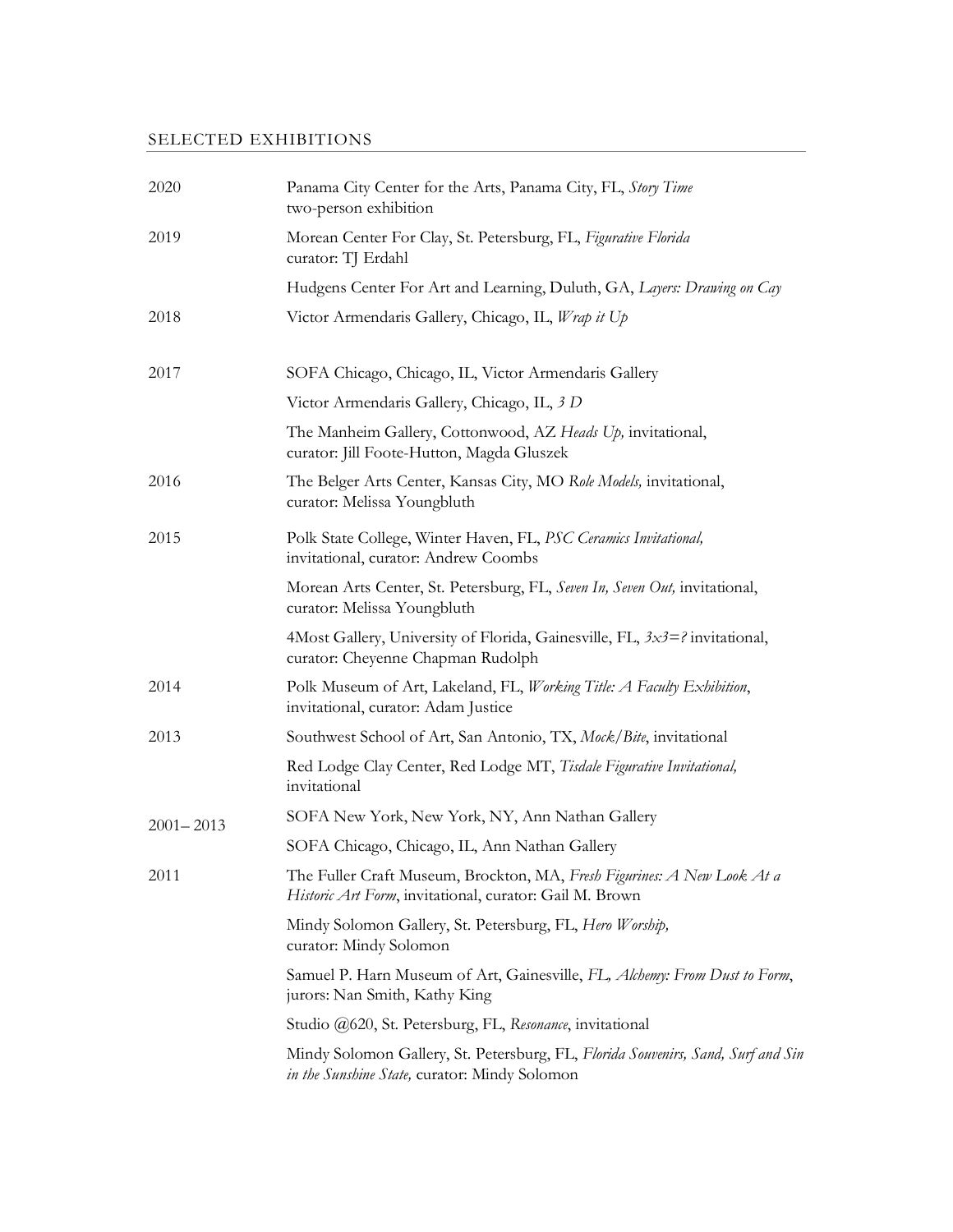# SELECTED EXHIBITIONS

| 2020          | Panama City Center for the Arts, Panama City, FL, Story Time<br>two-person exhibition                                              |
|---------------|------------------------------------------------------------------------------------------------------------------------------------|
| 2019          | Morean Center For Clay, St. Petersburg, FL, Figurative Florida<br>curator: TJ Erdahl                                               |
|               | Hudgens Center For Art and Learning, Duluth, GA, Layers: Drawing on Cay                                                            |
| 2018          | Victor Armendaris Gallery, Chicago, IL, Wrap it Up                                                                                 |
| 2017          | SOFA Chicago, Chicago, IL, Victor Armendaris Gallery                                                                               |
|               | Victor Armendaris Gallery, Chicago, IL, 3 D                                                                                        |
|               | The Manheim Gallery, Cottonwood, AZ Heads Up, invitational,<br>curator: Jill Foote-Hutton, Magda Gluszek                           |
| 2016          | The Belger Arts Center, Kansas City, MO Role Models, invitational,<br>curator: Melissa Youngbluth                                  |
| 2015          | Polk State College, Winter Haven, FL, PSC Ceramics Invitational,<br>invitational, curator: Andrew Coombs                           |
|               | Morean Arts Center, St. Petersburg, FL, Seven In, Seven Out, invitational,<br>curator: Melissa Youngbluth                          |
|               | 4Most Gallery, University of Florida, Gainesville, FL, $3x3=$ ? invitational,<br>curator: Cheyenne Chapman Rudolph                 |
| 2014          | Polk Museum of Art, Lakeland, FL, Working Title: A Faculty Exhibition,<br>invitational, curator: Adam Justice                      |
| 2013          | Southwest School of Art, San Antonio, TX, Mock/Bite, invitational                                                                  |
|               | Red Lodge Clay Center, Red Lodge MT, Tisdale Figurative Invitational,<br>invitational                                              |
| $2001 - 2013$ | SOFA New York, New York, NY, Ann Nathan Gallery                                                                                    |
|               | SOFA Chicago, Chicago, IL, Ann Nathan Gallery                                                                                      |
| 2011          | The Fuller Craft Museum, Brockton, MA, Fresh Figurines: A New Look At a<br>Historic Art Form, invitational, curator: Gail M. Brown |
|               | Mindy Solomon Gallery, St. Petersburg, FL, Hero Worship,<br>curator: Mindy Solomon                                                 |
|               | Samuel P. Harn Museum of Art, Gainesville, FL, Alchemy: From Dust to Form,<br>jurors: Nan Smith, Kathy King                        |
|               | Studio @620, St. Petersburg, FL, Resonance, invitational                                                                           |
|               | Mindy Solomon Gallery, St. Petersburg, FL, Florida Souvenirs, Sand, Surf and Sin<br>in the Sunshine State, curator: Mindy Solomon  |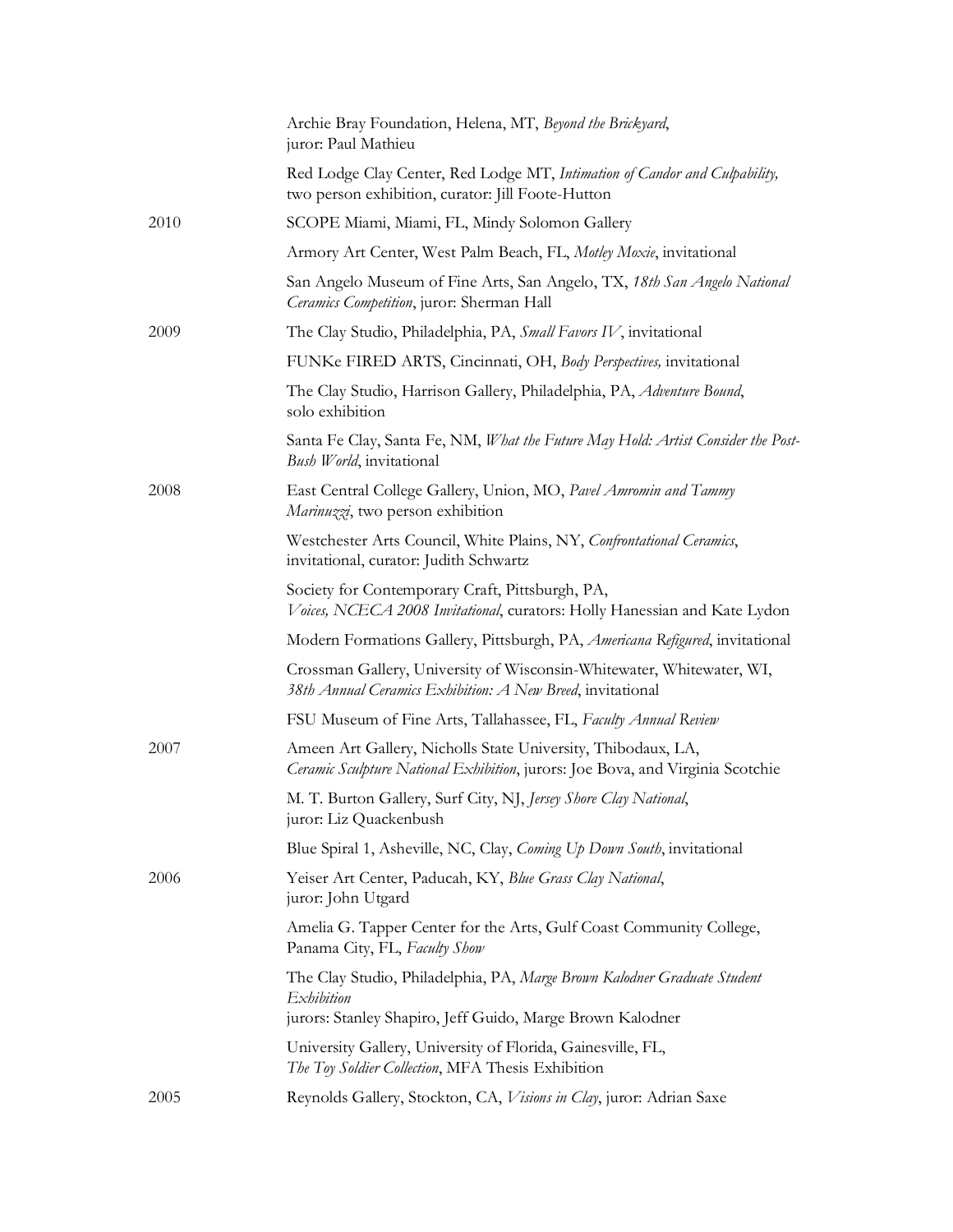|      | Archie Bray Foundation, Helena, MT, Beyond the Brickyard,<br>juror: Paul Mathieu                                                                    |
|------|-----------------------------------------------------------------------------------------------------------------------------------------------------|
|      | Red Lodge Clay Center, Red Lodge MT, Intimation of Candor and Culpability,<br>two person exhibition, curator: Jill Foote-Hutton                     |
| 2010 | SCOPE Miami, Miami, FL, Mindy Solomon Gallery                                                                                                       |
|      | Armory Art Center, West Palm Beach, FL, Motley Moxie, invitational                                                                                  |
|      | San Angelo Museum of Fine Arts, San Angelo, TX, 18th San Angelo National<br>Ceramics Competition, juror: Sherman Hall                               |
| 2009 | The Clay Studio, Philadelphia, PA, Small Favors IV, invitational                                                                                    |
|      | FUNKe FIRED ARTS, Cincinnati, OH, Body Perspectives, invitational                                                                                   |
|      | The Clay Studio, Harrison Gallery, Philadelphia, PA, Adventure Bound,<br>solo exhibition                                                            |
|      | Santa Fe Clay, Santa Fe, NM, What the Future May Hold: Artist Consider the Post-<br>Bush World, invitational                                        |
| 2008 | East Central College Gallery, Union, MO, Pavel Amromin and Tammy<br>Marinuzzi, two person exhibition                                                |
|      | Westchester Arts Council, White Plains, NY, Confrontational Ceramics,<br>invitational, curator: Judith Schwartz                                     |
|      | Society for Contemporary Craft, Pittsburgh, PA,<br>Voices, NCECA 2008 Invitational, curators: Holly Hanessian and Kate Lydon                        |
|      | Modern Formations Gallery, Pittsburgh, PA, Americana Refigured, invitational                                                                        |
|      | Crossman Gallery, University of Wisconsin-Whitewater, Whitewater, WI,<br>38th Annual Ceramics Exhibition: A New Breed, invitational                 |
|      | FSU Museum of Fine Arts, Tallahassee, FL, Faculty Annual Review                                                                                     |
| 2007 | Ameen Art Gallery, Nicholls State University, Thibodaux, LA,<br>Ceramic Sculpture National Exhibition, jurors: Joe Bova, and Virginia Scotchie      |
|      | M. T. Burton Gallery, Surf City, NJ, Jersey Shore Clay National,<br>juror: Liz Quackenbush                                                          |
|      | Blue Spiral 1, Asheville, NC, Clay, Coming Up Down South, invitational                                                                              |
| 2006 | Yeiser Art Center, Paducah, KY, Blue Grass Clay National,<br>juror: John Utgard                                                                     |
|      | Amelia G. Tapper Center for the Arts, Gulf Coast Community College,<br>Panama City, FL, Faculty Show                                                |
|      | The Clay Studio, Philadelphia, PA, Marge Brown Kalodner Graduate Student<br>Exhibition<br>jurors: Stanley Shapiro, Jeff Guido, Marge Brown Kalodner |
|      | University Gallery, University of Florida, Gainesville, FL,<br>The Toy Soldier Collection, MFA Thesis Exhibition                                    |
| 2005 | Reynolds Gallery, Stockton, CA, Visions in Clay, juror: Adrian Saxe                                                                                 |
|      |                                                                                                                                                     |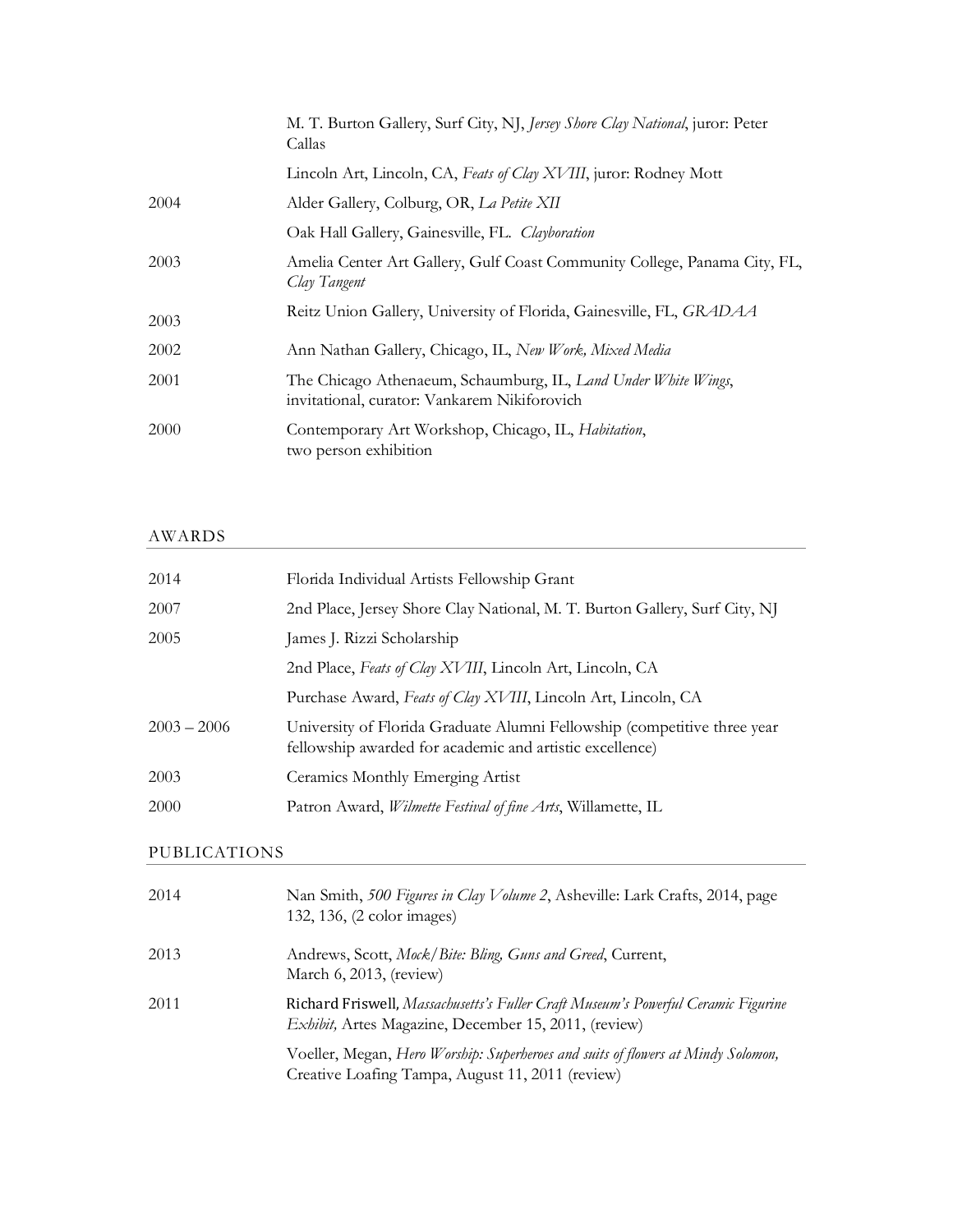|      | M. T. Burton Gallery, Surf City, NJ, Jersey Shore Clay National, juror: Peter<br>Callas                        |
|------|----------------------------------------------------------------------------------------------------------------|
|      | Lincoln Art, Lincoln, CA, Feats of Clay XVIII, juror: Rodney Mott                                              |
| 2004 | Alder Gallery, Colburg, OR, La Petite XII                                                                      |
|      | Oak Hall Gallery, Gainesville, FL. Clayboration                                                                |
| 2003 | Amelia Center Art Gallery, Gulf Coast Community College, Panama City, FL,<br>Clay Tangent                      |
| 2003 | Reitz Union Gallery, University of Florida, Gainesville, FL, GRADAA                                            |
| 2002 | Ann Nathan Gallery, Chicago, IL, New Work, Mixed Media                                                         |
| 2001 | The Chicago Athenaeum, Schaumburg, IL, Land Under White Wings,<br>invitational, curator: Vankarem Nikiforovich |
| 2000 | Contemporary Art Workshop, Chicago, IL, Habitation,<br>two person exhibition                                   |

# AWARDS

| 2014                | Florida Individual Artists Fellowship Grant                                                                                          |
|---------------------|--------------------------------------------------------------------------------------------------------------------------------------|
| 2007                | 2nd Place, Jersey Shore Clay National, M. T. Burton Gallery, Surf City, NJ                                                           |
| 2005                | James J. Rizzi Scholarship                                                                                                           |
|                     | 2nd Place, Feats of Clay XVIII, Lincoln Art, Lincoln, CA                                                                             |
|                     | Purchase Award, Feats of Clay XVIII, Lincoln Art, Lincoln, CA                                                                        |
| $2003 - 2006$       | University of Florida Graduate Alumni Fellowship (competitive three year<br>fellowship awarded for academic and artistic excellence) |
| 2003                | Ceramics Monthly Emerging Artist                                                                                                     |
| 2000                | Patron Award, <i>Wilmette Festival of fine Arts</i> , Willamette, IL                                                                 |
| <b>PUBLICATIONS</b> |                                                                                                                                      |
| 2014                | Nan Smith, 500 Figures in Clay Volume 2, Asheville: Lark Crafts, 2014, page                                                          |

|      | 132, 136, (2 color images)                                                                                                                        |
|------|---------------------------------------------------------------------------------------------------------------------------------------------------|
| 2013 | Andrews, Scott, Mock/Bite: Bling, Guns and Greed, Current,<br>March 6, 2013, (review)                                                             |
| 2011 | Richard Friswell, Massachusetts's Fuller Craft Museum's Powerful Ceramic Figurine<br><i>Exhibit</i> , Artes Magazine, December 15, 2011, (review) |
|      | Voeller, Megan, Hero Worship: Superheroes and suits of flowers at Mindy Solomon,<br>Creative Loafing Tampa, August 11, 2011 (review)              |